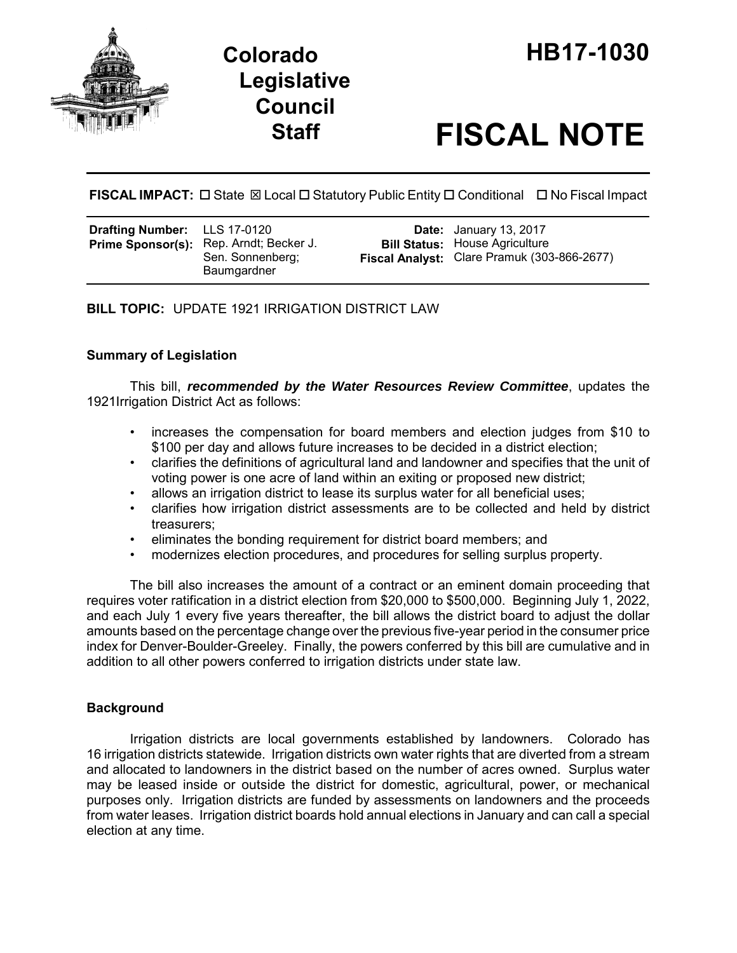



# **Staff FISCAL NOTE**

**FISCAL IMPACT:**  State Local Statutory Public Entity Conditional No Fiscal Impact

| <b>Drafting Number:</b> LLS 17-0120 | Prime Sponsor(s): Rep. Arndt; Becker J.<br>Sen. Sonnenberg;<br>Baumgardner |  | <b>Date:</b> January 13, 2017<br><b>Bill Status: House Agriculture</b><br>Fiscal Analyst: Clare Pramuk (303-866-2677) |
|-------------------------------------|----------------------------------------------------------------------------|--|-----------------------------------------------------------------------------------------------------------------------|
|-------------------------------------|----------------------------------------------------------------------------|--|-----------------------------------------------------------------------------------------------------------------------|

**BILL TOPIC:** UPDATE 1921 IRRIGATION DISTRICT LAW

## **Summary of Legislation**

This bill, *recommended by the Water Resources Review Committee*, updates the 1921Irrigation District Act as follows:

- increases the compensation for board members and election judges from \$10 to \$100 per day and allows future increases to be decided in a district election;
- clarifies the definitions of agricultural land and landowner and specifies that the unit of voting power is one acre of land within an exiting or proposed new district;
- allows an irrigation district to lease its surplus water for all beneficial uses;
- clarifies how irrigation district assessments are to be collected and held by district treasurers;
- eliminates the bonding requirement for district board members; and
- modernizes election procedures, and procedures for selling surplus property.

The bill also increases the amount of a contract or an eminent domain proceeding that requires voter ratification in a district election from \$20,000 to \$500,000. Beginning July 1, 2022, and each July 1 every five years thereafter, the bill allows the district board to adjust the dollar amounts based on the percentage change over the previous five-year period in the consumer price index for Denver-Boulder-Greeley. Finally, the powers conferred by this bill are cumulative and in addition to all other powers conferred to irrigation districts under state law.

# **Background**

Irrigation districts are local governments established by landowners. Colorado has 16 irrigation districts statewide. Irrigation districts own water rights that are diverted from a stream and allocated to landowners in the district based on the number of acres owned. Surplus water may be leased inside or outside the district for domestic, agricultural, power, or mechanical purposes only. Irrigation districts are funded by assessments on landowners and the proceeds from water leases. Irrigation district boards hold annual elections in January and can call a special election at any time.